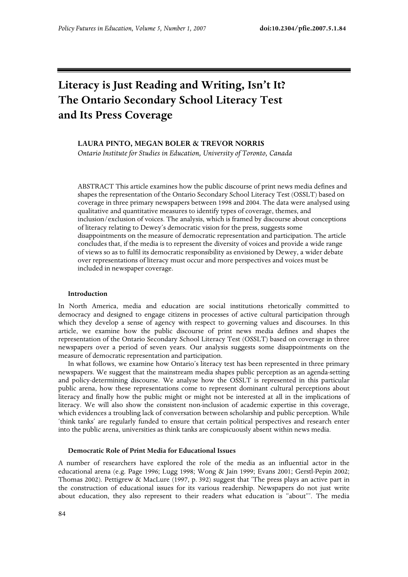# **Literacy is Just Reading and Writing, Isn't It? The Ontario Secondary School Literacy Test and Its Press Coverage**

# **LAURA PINTO, MEGAN BOLER & TREVOR NORRIS**

*Ontario Institute for Studies in Education, University of Toronto, Canada* 

ABSTRACT This article examines how the public discourse of print news media defines and shapes the representation of the Ontario Secondary School Literacy Test (OSSLT) based on coverage in three primary newspapers between 1998 and 2004. The data were analysed using qualitative and quantitative measures to identify types of coverage, themes, and inclusion/exclusion of voices. The analysis, which is framed by discourse about conceptions of literacy relating to Dewey's democratic vision for the press, suggests some disappointments on the measure of democratic representation and participation. The article concludes that, if the media is to represent the diversity of voices and provide a wide range of views so as to fulfil its democratic responsibility as envisioned by Dewey, a wider debate over representations of literacy must occur and more perspectives and voices must be included in newspaper coverage.

#### **Introduction**

In North America, media and education are social institutions rhetorically committed to democracy and designed to engage citizens in processes of active cultural participation through which they develop a sense of agency with respect to governing values and discourses. In this article, we examine how the public discourse of print news media defines and shapes the representation of the Ontario Secondary School Literacy Test (OSSLT) based on coverage in three newspapers over a period of seven years. Our analysis suggests some disappointments on the measure of democratic representation and participation.

In what follows, we examine how Ontario's literacy test has been represented in three primary newspapers. We suggest that the mainstream media shapes public perception as an agenda-setting and policy-determining discourse. We analyse how the OSSLT is represented in this particular public arena, how these representations come to represent dominant cultural perceptions about literacy and finally how the public might or might not be interested at all in the implications of literacy. We will also show the consistent non-inclusion of academic expertise in this coverage, which evidences a troubling lack of conversation between scholarship and public perception. While 'think tanks' are regularly funded to ensure that certain political perspectives and research enter into the public arena, universities as think tanks are conspicuously absent within news media.

# **Democratic Role of Print Media for Educational Issues**

A number of researchers have explored the role of the media as an influential actor in the educational arena (e.g. Page 1996; Lugg 1998; Wong & Jain 1999; Evans 2001; Gerstl-Pepin 2002; Thomas 2002). Pettigrew & MacLure (1997, p. 392) suggest that 'The press plays an active part in the construction of educational issues for its various readership. Newspapers do not just write about education, they also represent to their readers what education is "about"'. The media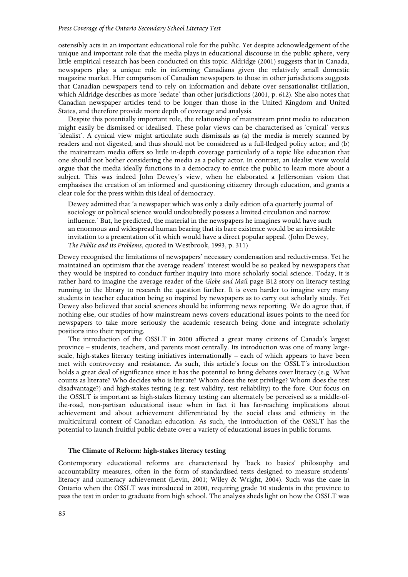ostensibly acts in an important educational role for the public. Yet despite acknowledgement of the unique and important role that the media plays in educational discourse in the public sphere, very little empirical research has been conducted on this topic. Aldridge (2001) suggests that in Canada, newspapers play a unique role in informing Canadians given the relatively small domestic magazine market. Her comparison of Canadian newspapers to those in other jurisdictions suggests that Canadian newspapers tend to rely on information and debate over sensationalist titillation, which Aldridge describes as more 'sedate' than other jurisdictions (2001, p. 612). She also notes that Canadian newspaper articles tend to be longer than those in the United Kingdom and United States, and therefore provide more depth of coverage and analysis.

Despite this potentially important role, the relationship of mainstream print media to education might easily be dismissed or idealised. These polar views can be characterised as 'cynical' versus 'idealist'. A cynical view might articulate such dismissals as (a) the media is merely scanned by readers and not digested, and thus should not be considered as a full-fledged policy actor; and (b) the mainstream media offers so little in-depth coverage particularly of a topic like education that one should not bother considering the media as a policy actor. In contrast, an idealist view would argue that the media ideally functions in a democracy to entice the public to learn more about a subject. This was indeed John Dewey's view, when he elaborated a Jeffersonian vision that emphasises the creation of an informed and questioning citizenry through education, and grants a clear role for the press within this ideal of democracy.

Dewey admitted that 'a newspaper which was only a daily edition of a quarterly journal of sociology or political science would undoubtedly possess a limited circulation and narrow influence.' But, he predicted, the material in the newspapers he imagines would have such an enormous and widespread human bearing that its bare existence would be an irresistible invitation to a presentation of it which would have a direct popular appeal. (John Dewey, *The Public and its Problems*, quoted in Westbrook, 1993, p. 311)

Dewey recognised the limitations of newspapers' necessary condensation and reductiveness. Yet he maintained an optimism that the average readers' interest would be so peaked by newspapers that they would be inspired to conduct further inquiry into more scholarly social science. Today, it is rather hard to imagine the average reader of the *Globe and Mail* page B12 story on literacy testing running to the library to research the question further. It is even harder to imagine very many students in teacher education being so inspired by newspapers as to carry out scholarly study. Yet Dewey also believed that social sciences should be informing news reporting. We do agree that, if nothing else, our studies of how mainstream news covers educational issues points to the need for newspapers to take more seriously the academic research being done and integrate scholarly positions into their reporting.

The introduction of the OSSLT in 2000 affected a great many citizens of Canada's largest province – students, teachers, and parents most centrally. Its introduction was one of many largescale, high-stakes literacy testing initiatives internationally – each of which appears to have been met with controversy and resistance. As such, this article's focus on the OSSLT's introduction holds a great deal of significance since it has the potential to bring debates over literacy (e.g. What counts as literate? Who decides who is literate? Whom does the test privilege? Whom does the test disadvantage?) and high-stakes testing (e.g. test validity, test reliability) to the fore. Our focus on the OSSLT is important as high-stakes literacy testing can alternately be perceived as a middle-ofthe-road, non-partisan educational issue when in fact it has far-reaching implications about achievement and about achievement differentiated by the social class and ethnicity in the multicultural context of Canadian education. As such, the introduction of the OSSLT has the potential to launch fruitful public debate over a variety of educational issues in public forums.

## **The Climate of Reform: high-stakes literacy testing**

Contemporary educational reforms are characterised by 'back to basics' philosophy and accountability measures, often in the form of standardised tests designed to measure students' literacy and numeracy achievement (Levin, 2001; Wiley & Wright, 2004). Such was the case in Ontario when the OSSLT was introduced in 2000, requiring grade 10 students in the province to pass the test in order to graduate from high school. The analysis sheds light on how the OSSLT was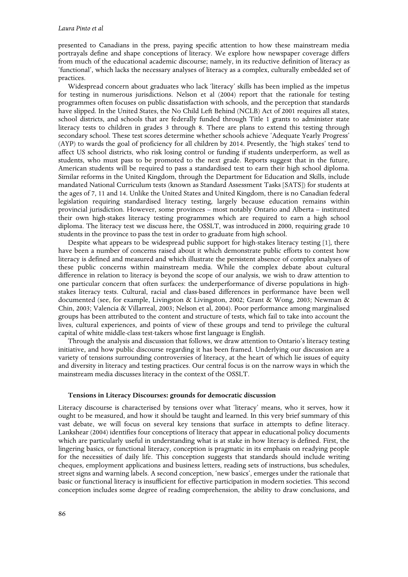presented to Canadians in the press, paying specific attention to how these mainstream media portrayals define and shape conceptions of literacy. We explore how newspaper coverage differs from much of the educational academic discourse; namely, in its reductive definition of literacy as 'functional', which lacks the necessary analyses of literacy as a complex, culturally embedded set of practices.

Widespread concern about graduates who lack 'literacy' skills has been implied as the impetus for testing in numerous jurisdictions. Nelson et al (2004) report that the rationale for testing programmes often focuses on public dissatisfaction with schools, and the perception that standards have slipped. In the United States, the No Child Left Behind (NCLB) Act of 2001 requires all states, school districts, and schools that are federally funded through Title 1 grants to administer state literacy tests to children in grades 3 through 8. There are plans to extend this testing through secondary school. These test scores determine whether schools achieve 'Adequate Yearly Progress' (AYP) to wards the goal of proficiency for all children by 2014. Presently, the 'high stakes' tend to affect US school districts, who risk losing control or funding if students underperform, as well as students, who must pass to be promoted to the next grade. Reports suggest that in the future, American students will be required to pass a standardised test to earn their high school diploma. Similar reforms in the United Kingdom, through the Department for Education and Skills, include mandated National Curriculum tests (known as Standard Assessment Tasks [SATS]) for students at the ages of 7, 11 and 14. Unlike the United States and United Kingdom, there is no Canadian federal legislation requiring standardised literacy testing, largely because education remains within provincial jurisdiction. However, some provinces – most notably Ontario and Alberta – instituted their own high-stakes literacy testing programmes which are required to earn a high school diploma. The literacy test we discuss here, the OSSLT, was introduced in 2000, requiring grade 10 students in the province to pass the test in order to graduate from high school.

Despite what appears to be widespread public support for high-stakes literacy testing [1], there have been a number of concerns raised about it which demonstrate public efforts to contest how literacy is defined and measured and which illustrate the persistent absence of complex analyses of these public concerns within mainstream media. While the complex debate about cultural difference in relation to literacy is beyond the scope of our analysis, we wish to draw attention to one particular concern that often surfaces: the underperformance of diverse populations in highstakes literacy tests. Cultural, racial and class-based differences in performance have been well documented (see, for example, Livingston & Livingston, 2002; Grant & Wong, 2003; Newman & Chin, 2003; Valencia & Villarreal, 2003; Nelson et al, 2004). Poor performance among marginalised groups has been attributed to the content and structure of tests, which fail to take into account the lives, cultural experiences, and points of view of these groups and tend to privilege the cultural capital of white middle-class test-takers whose first language is English.

Through the analysis and discussion that follows, we draw attention to Ontario's literacy testing initiative, and how public discourse regarding it has been framed. Underlying our discussion are a variety of tensions surrounding controversies of literacy, at the heart of which lie issues of equity and diversity in literacy and testing practices. Our central focus is on the narrow ways in which the mainstream media discusses literacy in the context of the OSSLT.

#### **Tensions in Literacy Discourses: grounds for democratic discussion**

Literacy discourse is characterised by tensions over what 'literacy' means, who it serves, how it ought to be measured, and how it should be taught and learned. In this very brief summary of this vast debate, we will focus on several key tensions that surface in attempts to define literacy. Lankshear (2004) identifies four conceptions of literacy that appear in educational policy documents which are particularly useful in understanding what is at stake in how literacy is defined. First, the lingering basics, or functional literacy, conception is pragmatic in its emphasis on readying people for the necessities of daily life. This conception suggests that standards should include writing cheques, employment applications and business letters, reading sets of instructions, bus schedules, street signs and warning labels. A second conception, 'new basics', emerges under the rationale that basic or functional literacy is insufficient for effective participation in modern societies. This second conception includes some degree of reading comprehension, the ability to draw conclusions, and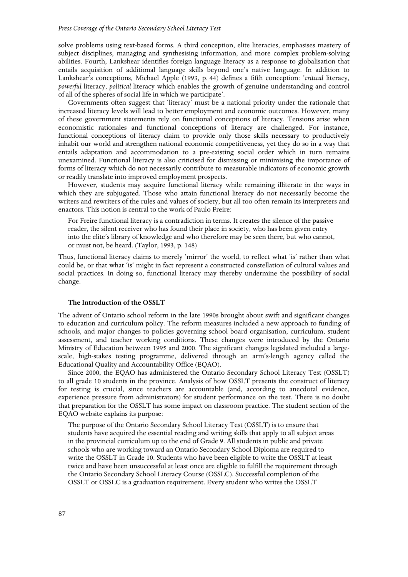solve problems using text-based forms. A third conception, elite literacies, emphasises mastery of subject disciplines, managing and synthesising information, and more complex problem-solving abilities. Fourth, Lankshear identifies foreign language literacy as a response to globalisation that entails acquisition of additional language skills beyond one's native language. In addition to Lankshear's conceptions, Michael Apple (1993, p. 44) defines a fifth conception: '*critical* literacy, *powerful* literacy, *political* literacy which enables the growth of genuine understanding and control of all of the spheres of social life in which we participate'.

Governments often suggest that 'literacy' must be a national priority under the rationale that increased literacy levels will lead to better employment and economic outcomes. However, many of these government statements rely on functional conceptions of literacy. Tensions arise when economistic rationales and functional conceptions of literacy are challenged. For instance, functional conceptions of literacy claim to provide only those skills necessary to productively inhabit our world and strengthen national economic competitiveness, yet they do so in a way that entails adaptation and accommodation to a pre-existing social order which in turn remains unexamined. Functional literacy is also criticised for dismissing or minimising the importance of forms of literacy which do not necessarily contribute to measurable indicators of economic growth or readily translate into improved employment prospects.

However, students may acquire functional literacy while remaining illiterate in the ways in which they are subjugated. Those who attain functional literacy do not necessarily become the writers and rewriters of the rules and values of society, but all too often remain its interpreters and enactors. This notion is central to the work of Paulo Freire:

For Freire functional literacy is a contradiction in terms. It creates the silence of the passive reader, the silent receiver who has found their place in society, who has been given entry into the elite's library of knowledge and who therefore may be seen there, but who cannot, or must not, be heard. (Taylor, 1993, p. 148)

Thus, functional literacy claims to merely 'mirror' the world, to reflect what 'is' rather than what could be, or that what 'is' might in fact represent a constructed constellation of cultural values and social practices. In doing so, functional literacy may thereby undermine the possibility of social change.

#### **The Introduction of the OSSLT**

The advent of Ontario school reform in the late 1990s brought about swift and significant changes to education and curriculum policy. The reform measures included a new approach to funding of schools, and major changes to policies governing school board organisation, curriculum, student assessment, and teacher working conditions. These changes were introduced by the Ontario Ministry of Education between 1995 and 2000. The significant changes legislated included a largescale, high-stakes testing programme, delivered through an arm's-length agency called the Educational Quality and Accountability Office (EQAO).

Since 2000, the EQAO has administered the Ontario Secondary School Literacy Test (OSSLT) to all grade 10 students in the province. Analysis of how OSSLT presents the construct of literacy for testing is crucial, since teachers are accountable (and, according to anecdotal evidence, experience pressure from administrators) for student performance on the test. There is no doubt that preparation for the OSSLT has some impact on classroom practice. The student section of the EQAO website explains its purpose:

The purpose of the Ontario Secondary School Literacy Test (OSSLT) is to ensure that students have acquired the essential reading and writing skills that apply to all subject areas in the provincial curriculum up to the end of Grade 9. All students in public and private schools who are working toward an Ontario Secondary School Diploma are required to write the OSSLT in Grade 10. Students who have been eligible to write the OSSLT at least twice and have been unsuccessful at least once are eligible to fulfill the requirement through the Ontario Secondary School Literacy Course (OSSLC). Successful completion of the OSSLT or OSSLC is a graduation requirement. Every student who writes the OSSLT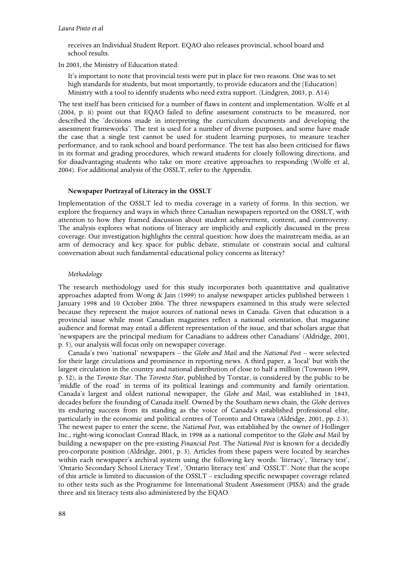receives an Individual Student Report. EQAO also releases provincial, school board and school results.

In 2003, the Ministry of Education stated:

It's important to note that provincial tests were put in place for two reasons. One was to set high standards for students, but most importantly, to provide educators and the [Education] Ministry with a tool to identify students who need extra support. (Lindgren, 2003, p. A14)

The test itself has been criticised for a number of flaws in content and implementation. Wolfe et al (2004, p. ii) point out that EQAO failed to define assessment constructs to be measured, nor described the 'decisions made in interpreting the curriculum documents and developing the assessment frameworks'. The test is used for a number of diverse purposes, and some have made the case that a single test cannot be used for student learning purposes, to measure teacher performance, and to rank school and board performance. The test has also been criticised for flaws in its format and grading procedures, which reward students for closely following directions, and for disadvantaging students who take on more creative approaches to responding (Wolfe et al, 2004). For additional analysis of the OSSLT, refer to the Appendix.

## **Newspaper Portrayal of Literacy in the OSSLT**

Implementation of the OSSLT led to media coverage in a variety of forms. In this section, we explore the frequency and ways in which three Canadian newspapers reported on the OSSLT, with attention to how they framed discussion about student achievement, content, and controversy. The analysis explores what notions of literacy are implicitly and explicitly discussed in the press coverage. Our investigation highlights the central question: how does the mainstream media, as an arm of democracy and key space for public debate, stimulate or constrain social and cultural conversation about such fundamental educational policy concerns as literacy?

#### *Methodology*

The research methodology used for this study incorporates both quantitative and qualitative approaches adapted from Wong & Jain (1999) to analyse newspaper articles published between 1 January 1998 and 10 October 2004. The three newspapers examined in this study were selected because they represent the major sources of national news in Canada. Given that education is a provincial issue while most Canadian magazines reflect a national orientation, that magazine audience and format may entail a different representation of the issue, and that scholars argue that 'newspapers are the principal medium for Canadians to address other Canadians' (Aldridge, 2001, p. 5), our analysis will focus only on newspaper coverage.

Canada's two 'national' newspapers – the *Globe and Mail* and the *National Post* – were selected for their large circulations and prominence in reporting news. A third paper, a 'local' but with the largest circulation in the country and national distribution of close to half a million (Townson 1999, p. 52), is the *Toronto Star*. The *Toronto Star*, published by Torstar, is considered by the public to be 'middle of the road' in terms of its political leanings and community and family orientation. Canada's largest and oldest national newspaper, the *Globe and Mail*, was established in 1843, decades before the founding of Canada itself. Owned by the Southam news chain, the *Globe* derives its enduring success from its standing as the voice of Canada's established professional elite, particularly in the economic and political centres of Toronto and Ottawa (Aldridge, 2001, pp. 2-3). The newest paper to enter the scene, the *National Post*, was established by the owner of Hollinger Inc., right-wing iconoclast Conrad Black, in 1998 as a national competitor to the *Globe and Mail* by building a newspaper on the pre-existing *Financial Post*. The *National Post* is known for a decidedly pro-corporate position (Aldridge, 2001, p. 3). Articles from these papers were located by searches within each newspaper's archival system using the following key words: 'literacy', 'literacy test', 'Ontario Secondary School Literacy Test', 'Ontario literacy test' and 'OSSLT'. Note that the scope of this article is limited to discussion of the OSSLT – excluding specific newspaper coverage related to other tests such as the Programme for International Student Assessment (PISA) and the grade three and six literacy tests also administered by the EQAO.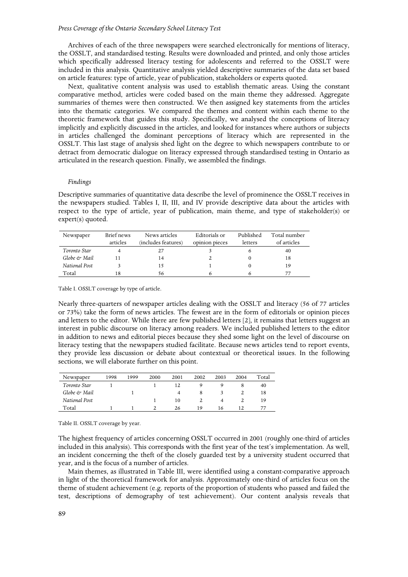Archives of each of the three newspapers were searched electronically for mentions of literacy, the OSSLT, and standardised testing. Results were downloaded and printed, and only those articles which specifically addressed literacy testing for adolescents and referred to the OSSLT were included in this analysis. Quantitative analysis yielded descriptive summaries of the data set based on article features: type of article, year of publication, stakeholders or experts quoted.

Next, qualitative content analysis was used to establish thematic areas. Using the constant comparative method, articles were coded based on the main theme they addressed. Aggregate summaries of themes were then constructed. We then assigned key statements from the articles into the thematic categories. We compared the themes and content within each theme to the theoretic framework that guides this study. Specifically, we analysed the conceptions of literacy implicitly and explicitly discussed in the articles, and looked for instances where authors or subjects in articles challenged the dominant perceptions of literacy which are represented in the OSSLT. This last stage of analysis shed light on the degree to which newspapers contribute to or detract from democratic dialogue on literacy expressed through standardised testing in Ontario as articulated in the research question. Finally, we assembled the findings.

#### *Findings*

Descriptive summaries of quantitative data describe the level of prominence the OSSLT receives in the newspapers studied. Tables I, II, III, and IV provide descriptive data about the articles with respect to the type of article, year of publication, main theme, and type of stakeholder(s) or expert(s) quoted.

| Newspaper     | Brief news | News articles       | Editorials or  | Published | Total number |
|---------------|------------|---------------------|----------------|-----------|--------------|
|               | articles   | (includes features) | opinion pieces | letters   | of articles  |
| Toronto Star  |            | 27                  |                |           | 40           |
| Globe & Mail  |            | 14                  |                |           | 18           |
| National Post |            | 15                  |                |           | 19           |
| Total         |            | 56                  |                | n         |              |

Table I. OSSLT coverage by type of article.

Nearly three-quarters of newspaper articles dealing with the OSSLT and literacy (56 of 77 articles or 73%) take the form of news articles. The fewest are in the form of editorials or opinion pieces and letters to the editor. While there are few published letters [2], it remains that letters suggest an interest in public discourse on literacy among readers. We included published letters to the editor in addition to news and editorial pieces because they shed some light on the level of discourse on literacy testing that the newspapers studied facilitate. Because news articles tend to report events, they provide less discussion or debate about contextual or theoretical issues. In the following sections, we will elaborate further on this point.

| Newspaper     | 1998 | 1999 | 2000 | 2001 | 2002 | 2003 | 2004 | Total |
|---------------|------|------|------|------|------|------|------|-------|
| Toronto Star  |      |      |      |      |      |      |      | 40    |
| Globe & Mail  |      |      |      |      | 8    |      |      | 18    |
| National Post |      |      |      | 10   |      |      |      | 19    |
| Total         |      |      |      | 26   | 19   | 16   |      |       |

Table II. OSSLT coverage by year.

The highest frequency of articles concerning OSSLT occurred in 2001 (roughly one-third of articles included in this analysis). This corresponds with the first year of the test's implementation. As well, an incident concerning the theft of the closely guarded test by a university student occurred that year, and is the focus of a number of articles.

Main themes, as illustrated in Table III, were identified using a constant-comparative approach in light of the theoretical framework for analysis. Approximately one-third of articles focus on the theme of student achievement (e.g. reports of the proportion of students who passed and failed the test, descriptions of demography of test achievement). Our content analysis reveals that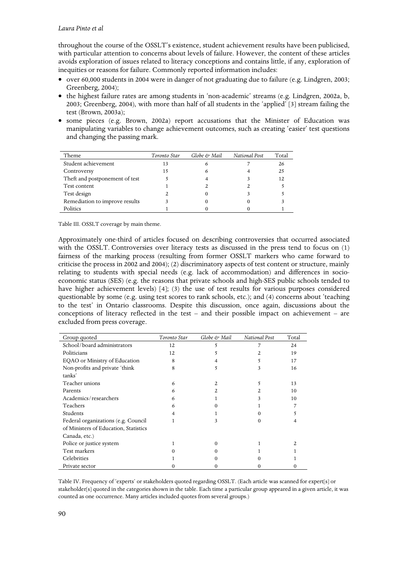throughout the course of the OSSLT's existence, student achievement results have been publicised, with particular attention to concerns about levels of failure. However, the content of these articles avoids exploration of issues related to literacy conceptions and contains little, if any, exploration of inequities or reasons for failure. Commonly reported information includes:

- over 60,000 students in 2004 were in danger of not graduating due to failure (e.g. Lindgren, 2003; Greenberg, 2004);
- the highest failure rates are among students in 'non-academic' streams (e.g. Lindgren, 2002a, b, 2003; Greenberg, 2004), with more than half of all students in the 'applied' [3] stream failing the test (Brown, 2003a);
- some pieces (e.g. Brown, 2002a) report accusations that the Minister of Education was manipulating variables to change achievement outcomes, such as creating 'easier' test questions and changing the passing mark.

| Theme                          | Toronto Star | Globe & Mail | National Post | Total |
|--------------------------------|--------------|--------------|---------------|-------|
| Student achievement            | 13           | 6            |               | 26    |
| Controversy                    |              | 6            |               | 25    |
| Theft and postponement of test |              |              |               | 12    |
| Test content                   |              |              |               |       |
| Test design                    |              |              |               |       |
| Remediation to improve results |              |              |               |       |
| Politics                       |              |              |               |       |

Table III. OSSLT coverage by main theme.

Approximately one-third of articles focused on describing controversies that occurred associated with the OSSLT. Controversies over literacy tests as discussed in the press tend to focus on (1) fairness of the marking process (resulting from former OSSLT markers who came forward to criticise the process in 2002 and 2004); (2) discriminatory aspects of test content or structure, mainly relating to students with special needs (e.g. lack of accommodation) and differences in socioeconomic status (SES) (e.g. the reasons that private schools and high-SES public schools tended to have higher achievement levels) [4]; (3) the use of test results for various purposes considered questionable by some (e.g. using test scores to rank schools, etc.); and (4) concerns about 'teaching to the test' in Ontario classrooms. Despite this discussion, once again, discussions about the conceptions of literacy reflected in the test – and their possible impact on achievement – are excluded from press coverage.

| Group quoted                          | Toronto Star | Globe & Mail | National Post | Total |
|---------------------------------------|--------------|--------------|---------------|-------|
| School/board administrators           | 12           | 5            |               | 24    |
| Politicians                           | 12           |              | 2.            | 19    |
| EQAO or Ministry of Education         | 8            |              |               | 17    |
| Non-profits and private 'think        | 8            |              | 3             | 16    |
| tanks'                                |              |              |               |       |
| Teacher unions                        | 6            | 2            | 5             | 13    |
| Parents                               | 6            |              |               | 10    |
| Academics/researchers                 | 6            |              | 3             | 10    |
| Teachers                              | 6            | 0            |               |       |
| Students                              | 4            |              | 0             |       |
| Federal organizations (e.g. Council   |              | 3            | 0             |       |
| of Ministers of Education, Statistics |              |              |               |       |
| Canada, etc.)                         |              |              |               |       |
| Police or justice system              |              | 0            |               |       |
| Test markers                          |              |              |               |       |
| Celebrities                           |              |              |               |       |
| Private sector                        |              |              |               |       |

Table IV. Frequency of 'experts' or stakeholders quoted regarding OSSLT. (Each article was scanned for expert[s] or stakeholder[s] quoted in the categories shown in the table. Each time a particular group appeared in a given article, it was counted as one occurrence. Many articles included quotes from several groups.)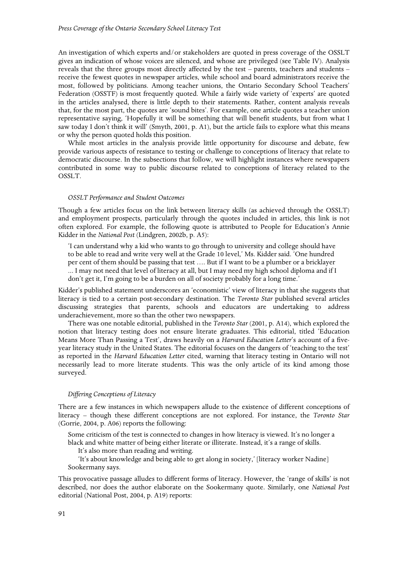An investigation of which experts and/or stakeholders are quoted in press coverage of the OSSLT gives an indication of whose voices are silenced, and whose are privileged (see Table IV). Analysis reveals that the three groups most directly affected by the test – parents, teachers and students – receive the fewest quotes in newspaper articles, while school and board administrators receive the most, followed by politicians. Among teacher unions, the Ontario Secondary School Teachers' Federation (OSSTF) is most frequently quoted. While a fairly wide variety of 'experts' are quoted in the articles analysed, there is little depth to their statements. Rather, content analysis reveals that, for the most part, the quotes are 'sound bites'. For example, one article quotes a teacher union representative saying, 'Hopefully it will be something that will benefit students, but from what I saw today I don't think it will' (Smyth, 2001, p. A1), but the article fails to explore what this means or why the person quoted holds this position.

While most articles in the analysis provide little opportunity for discourse and debate, few provide various aspects of resistance to testing or challenge to conceptions of literacy that relate to democratic discourse. In the subsections that follow, we will highlight instances where newspapers contributed in some way to public discourse related to conceptions of literacy related to the OSSLT.

#### *OSSLT Performance and Student Outcomes*

Though a few articles focus on the link between literacy skills (as achieved through the OSSLT) and employment prospects, particularly through the quotes included in articles, this link is not often explored. For example, the following quote is attributed to People for Education's Annie Kidder in the *National Post* (Lindgren, 2002b, p. A5):

'I can understand why a kid who wants to go through to university and college should have to be able to read and write very well at the Grade 10 level,' Ms. Kidder said. 'One hundred per cent of them should be passing that test …. But if I want to be a plumber or a bricklayer ... I may not need that level of literacy at all, but I may need my high school diploma and if I don't get it, I'm going to be a burden on all of society probably for a long time.'

Kidder's published statement underscores an 'economistic' view of literacy in that she suggests that literacy is tied to a certain post-secondary destination. The *Toronto Star* published several articles discussing strategies that parents, schools and educators are undertaking to address underachievement, more so than the other two newspapers.

There was one notable editorial, published in the *Toronto Star* (2001, p. A14), which explored the notion that literacy testing does not ensure literate graduates. This editorial, titled 'Education Means More Than Passing a Test', draws heavily on a *Harvard Education Letter*'s account of a fiveyear literacy study in the United States. The editorial focuses on the dangers of 'teaching to the test' as reported in the *Harvard Education Letter* cited, warning that literacy testing in Ontario will not necessarily lead to more literate students. This was the only article of its kind among those surveyed.

# *Differing Conceptions of Literacy*

There are a few instances in which newspapers allude to the existence of different conceptions of literacy – though these different conceptions are not explored. For instance, the *Toronto Star* (Gorrie, 2004, p. A06) reports the following:

Some criticism of the test is connected to changes in how literacy is viewed. It's no longer a black and white matter of being either literate or illiterate. Instead, it's a range of skills.

It's also more than reading and writing.

 'It's about knowledge and being able to get along in society,' [literacy worker Nadine] Sookermany says.

This provocative passage alludes to different forms of literacy. However, the 'range of skills' is not described, nor does the author elaborate on the Sookermany quote. Similarly, one *National Post* editorial (National Post, 2004, p. A19) reports: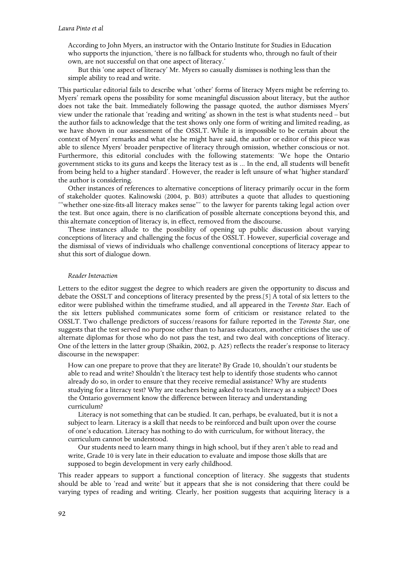According to John Myers, an instructor with the Ontario Institute for Studies in Education who supports the injunction, 'there is no fallback for students who, through no fault of their own, are not successful on that one aspect of literacy.'

 But this 'one aspect of literacy' Mr. Myers so casually dismisses is nothing less than the simple ability to read and write.

This particular editorial fails to describe what 'other' forms of literacy Myers might be referring to. Myers' remark opens the possibility for some meaningful discussion about literacy, but the author does not take the bait. Immediately following the passage quoted, the author dismisses Myers' view under the rationale that 'reading and writing' as shown in the test is what students need – but the author fails to acknowledge that the test shows only one form of writing and limited reading, as we have shown in our assessment of the OSSLT. While it is impossible to be certain about the context of Myers' remarks and what else he might have said, the author or editor of this piece was able to silence Myers' broader perspective of literacy through omission, whether conscious or not. Furthermore, this editorial concludes with the following statements: 'We hope the Ontario government sticks to its guns and keeps the literacy test as is ... In the end, all students will benefit from being held to a higher standard'. However, the reader is left unsure of what 'higher standard' the author is considering.

Other instances of references to alternative conceptions of literacy primarily occur in the form of stakeholder quotes. Kalinowski (2004, p. B03) attributes a quote that alludes to questioning '"whether one-size-fits-all literacy makes sense"' to the lawyer for parents taking legal action over the test. But once again, there is no clarification of possible alternate conceptions beyond this, and this alternate conception of literacy is, in effect, removed from the discourse.

These instances allude to the possibility of opening up public discussion about varying conceptions of literacy and challenging the focus of the OSSLT. However, superficial coverage and the dismissal of views of individuals who challenge conventional conceptions of literacy appear to shut this sort of dialogue down.

#### *Reader Interaction*

Letters to the editor suggest the degree to which readers are given the opportunity to discuss and debate the OSSLT and conceptions of literacy presented by the press.[5] A total of six letters to the editor were published within the timeframe studied, and all appeared in the *Toronto Star.* Each of the six letters published communicates some form of criticism or resistance related to the OSSLT. Two challenge predictors of success/reasons for failure reported in the *Toronto Star*, one suggests that the test served no purpose other than to harass educators, another criticises the use of alternate diplomas for those who do not pass the test, and two deal with conceptions of literacy. One of the letters in the latter group (Shaikin, 2002, p. A25) reflects the reader's response to literacy discourse in the newspaper:

How can one prepare to prove that they are literate? By Grade 10, shouldn't our students be able to read and write? Shouldn't the literacy test help to identify those students who cannot already do so, in order to ensure that they receive remedial assistance? Why are students studying for a literacy test? Why are teachers being asked to teach literacy as a subject? Does the Ontario government know the difference between literacy and understanding curriculum?

 Literacy is not something that can be studied. It can, perhaps, be evaluated, but it is not a subject to learn. Literacy is a skill that needs to be reinforced and built upon over the course of one's education. Literacy has nothing to do with curriculum, for without literacy, the curriculum cannot be understood.

 Our students need to learn many things in high school, but if they aren't able to read and write, Grade 10 is very late in their education to evaluate and impose those skills that are supposed to begin development in very early childhood.

This reader appears to support a functional conception of literacy. She suggests that students should be able to 'read and write' but it appears that she is not considering that there could be varying types of reading and writing. Clearly, her position suggests that acquiring literacy is a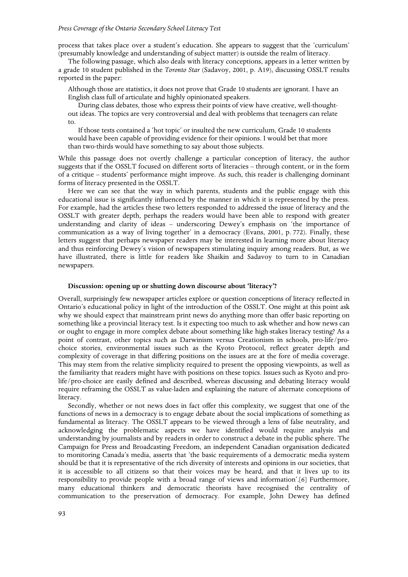process that takes place over a student's education. She appears to suggest that the 'curriculum' (presumably knowledge and understanding of subject matter) is outside the realm of literacy.

The following passage, which also deals with literacy conceptions, appears in a letter written by a grade 10 student published in the *Toronto Star* (Sadavoy, 2001, p. A19), discussing OSSLT results reported in the paper:

Although those are statistics, it does not prove that Grade 10 students are ignorant. I have an English class full of articulate and highly opinionated speakers.

 During class debates, those who express their points of view have creative, well-thoughtout ideas. The topics are very controversial and deal with problems that teenagers can relate to.

 If those tests contained a 'hot topic' or insulted the new curriculum, Grade 10 students would have been capable of providing evidence for their opinions. I would bet that more than two-thirds would have something to say about those subjects.

While this passage does not overtly challenge a particular conception of literacy, the author suggests that if the OSSLT focused on different sorts of literacies – through content, or in the form of a critique – students' performance might improve. As such, this reader is challenging dominant forms of literacy presented in the OSSLT.

Here we can see that the way in which parents, students and the public engage with this educational issue is significantly influenced by the manner in which it is represented by the press. For example, had the articles these two letters responded to addressed the issue of literacy and the OSSLT with greater depth, perhaps the readers would have been able to respond with greater understanding and clarity of ideas – underscoring Dewey's emphasis on 'the importance of communication as a way of living together' in a democracy (Evans, 2001, p. 772). Finally, these letters suggest that perhaps newspaper readers may be interested in learning more about literacy and thus reinforcing Dewey's vision of newspapers stimulating inquiry among readers. But, as we have illustrated, there is little for readers like Shaikin and Sadavoy to turn to in Canadian newspapers.

#### **Discussion: opening up or shutting down discourse about 'literacy'?**

Overall, surprisingly few newspaper articles explore or question conceptions of literacy reflected in Ontario's educational policy in light of the introduction of the OSSLT. One might at this point ask why we should expect that mainstream print news do anything more than offer basic reporting on something like a provincial literacy test. Is it expecting too much to ask whether and how news can or ought to engage in more complex debate about something like high-stakes literacy testing? As a point of contrast, other topics such as Darwinism versus Creationism in schools, pro-life/prochoice stories, environmental issues such as the Kyoto Protocol, reflect greater depth and complexity of coverage in that differing positions on the issues are at the fore of media coverage. This may stem from the relative simplicity required to present the opposing viewpoints, as well as the familiarity that readers might have with positions on these topics. Issues such as Kyoto and prolife/pro-choice are easily defined and described, whereas discussing and debating literacy would require reframing the OSSLT as value-laden and explaining the nature of alternate conceptions of literacy.

Secondly, whether or not news does in fact offer this complexity, we suggest that one of the functions of news in a democracy is to engage debate about the social implications of something as fundamental as literacy. The OSSLT appears to be viewed through a lens of false neutrality, and acknowledging the problematic aspects we have identified would require analysis and understanding by journalists and by readers in order to construct a debate in the public sphere. The Campaign for Press and Broadcasting Freedom, an independent Canadian organisation dedicated to monitoring Canada's media, asserts that 'the basic requirements of a democratic media system should be that it is representative of the rich diversity of interests and opinions in our societies, that it is accessible to all citizens so that their voices may be heard, and that it lives up to its responsibility to provide people with a broad range of views and information'.[6] Furthermore, many educational thinkers and democratic theorists have recognised the centrality of communication to the preservation of democracy. For example, John Dewey has defined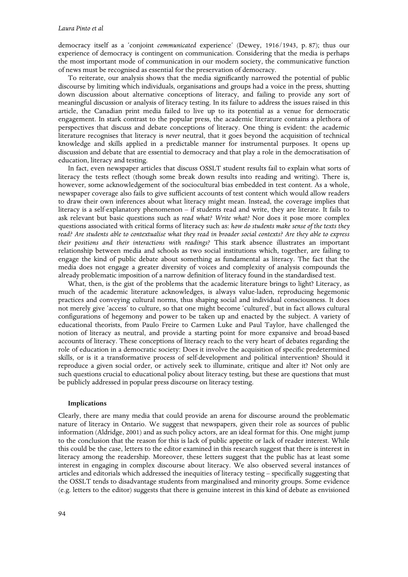democracy itself as a 'conjoint *communicated* experience' (Dewey, 1916/1943, p. 87); thus our experience of democracy is contingent on communication. Considering that the media is perhaps the most important mode of communication in our modern society, the communicative function of news must be recognised as essential for the preservation of democracy.

To reiterate, our analysis shows that the media significantly narrowed the potential of public discourse by limiting which individuals, organisations and groups had a voice in the press, shutting down discussion about alternative conceptions of literacy, and failing to provide any sort of meaningful discussion or analysis of literacy testing. In its failure to address the issues raised in this article, the Canadian print media failed to live up to its potential as a venue for democratic engagement. In stark contrast to the popular press, the academic literature contains a plethora of perspectives that discuss and debate conceptions of literacy. One thing is evident: the academic literature recognises that literacy is *never* neutral, that it goes beyond the acquisition of technical knowledge and skills applied in a predictable manner for instrumental purposes. It opens up discussion and debate that are essential to democracy and that play a role in the democratisation of education, literacy and testing.

In fact, even newspaper articles that discuss OSSLT student results fail to explain what sorts of literacy the tests reflect (though some break down results into reading and writing). There is, however, some acknowledgement of the sociocultural bias embedded in test content. As a whole, newspaper coverage also fails to give sufficient accounts of test content which would allow readers to draw their own inferences about what literacy might mean. Instead, the coverage implies that literacy is a self-explanatory phenomenon – if students read and write, they are literate. It fails to ask relevant but basic questions such as *read what? Write what?* Nor does it pose more complex questions associated with critical forms of literacy such as: *how do students make sense of the texts they read? Are students able to contextualise what they read in broader social contexts? Are they able to express their positions and their interactions with readings?* This stark absence illustrates an important relationship between media and schools as two social institutions which, together, are failing to engage the kind of public debate about something as fundamental as literacy. The fact that the media does not engage a greater diversity of voices and complexity of analysis compounds the already problematic imposition of a narrow definition of literacy found in the standardised test.

What, then, is the gist of the problems that the academic literature brings to light? Literacy, as much of the academic literature acknowledges, is always value-laden, reproducing hegemonic practices and conveying cultural norms, thus shaping social and individual consciousness. It does not merely give 'access' to culture, so that one might become 'cultured', but in fact allows cultural configurations of hegemony and power to be taken up and enacted by the subject. A variety of educational theorists, from Paulo Freire to Carmen Luke and Paul Taylor, have challenged the notion of literacy as neutral, and provide a starting point for more expansive and broad-based accounts of literacy. These conceptions of literacy reach to the very heart of debates regarding the role of education in a democratic society: Does it involve the acquisition of specific predetermined skills, or is it a transformative process of self-development and political intervention? Should it reproduce a given social order, or actively seek to illuminate, critique and alter it? Not only are such questions crucial to educational policy about literacy testing, but these are questions that must be publicly addressed in popular press discourse on literacy testing.

#### **Implications**

Clearly, there are many media that could provide an arena for discourse around the problematic nature of literacy in Ontario. We suggest that newspapers, given their role as sources of public information (Aldridge, 2001) and as such policy actors, are an ideal format for this. One might jump to the conclusion that the reason for this is lack of public appetite or lack of reader interest. While this could be the case, letters to the editor examined in this research suggest that there is interest in literacy among the readership. Moreover, these letters suggest that the public has at least some interest in engaging in complex discourse about literacy. We also observed several instances of articles and editorials which addressed the inequities of literacy testing – specifically suggesting that the OSSLT tends to disadvantage students from marginalised and minority groups. Some evidence (e.g. letters to the editor) suggests that there is genuine interest in this kind of debate as envisioned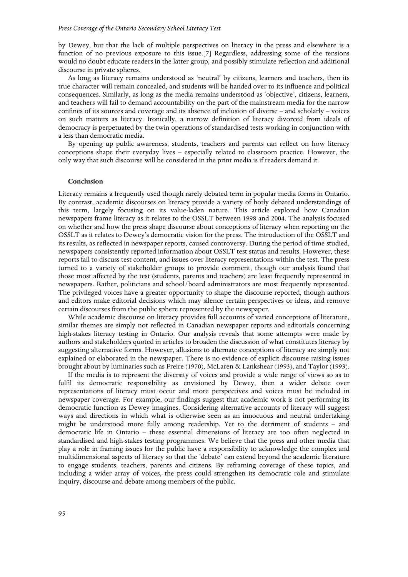by Dewey, but that the lack of multiple perspectives on literacy in the press and elsewhere is a function of no previous exposure to this issue.[7] Regardless, addressing some of the tensions would no doubt educate readers in the latter group, and possibly stimulate reflection and additional discourse in private spheres.

As long as literacy remains understood as 'neutral' by citizens, learners and teachers, then its true character will remain concealed, and students will be handed over to its influence and political consequences. Similarly, as long as the media remains understood as 'objective', citizens, learners, and teachers will fail to demand accountability on the part of the mainstream media for the narrow confines of its sources and coverage and its absence of inclusion of diverse – and scholarly – voices on such matters as literacy. Ironically, a narrow definition of literacy divorced from ideals of democracy is perpetuated by the twin operations of standardised tests working in conjunction with a less than democratic media.

By opening up public awareness, students, teachers and parents can reflect on how literacy conceptions shape their everyday lives – especially related to classroom practice. However, the only way that such discourse will be considered in the print media is if readers demand it.

#### **Conclusion**

Literacy remains a frequently used though rarely debated term in popular media forms in Ontario. By contrast, academic discourses on literacy provide a variety of hotly debated understandings of this term, largely focusing on its value-laden nature. This article explored how Canadian newspapers frame literacy as it relates to the OSSLT between 1998 and 2004. The analysis focused on whether and how the press shape discourse about conceptions of literacy when reporting on the OSSLT as it relates to Dewey's democratic vision for the press. The introduction of the OSSLT and its results, as reflected in newspaper reports, caused controversy. During the period of time studied, newspapers consistently reported information about OSSLT test status and results. However, these reports fail to discuss test content, and issues over literacy representations within the test. The press turned to a variety of stakeholder groups to provide comment, though our analysis found that those most affected by the test (students, parents and teachers) are least frequently represented in newspapers. Rather, politicians and school/board administrators are most frequently represented. The privileged voices have a greater opportunity to shape the discourse reported, though authors and editors make editorial decisions which may silence certain perspectives or ideas, and remove certain discourses from the public sphere represented by the newspaper.

While academic discourse on literacy provides full accounts of varied conceptions of literature, similar themes are simply not reflected in Canadian newspaper reports and editorials concerning high-stakes literacy testing in Ontario. Our analysis reveals that some attempts were made by authors and stakeholders quoted in articles to broaden the discussion of what constitutes literacy by suggesting alternative forms. However, allusions to alternate conceptions of literacy are simply not explained or elaborated in the newspaper. There is no evidence of explicit discourse raising issues brought about by luminaries such as Freire (1970), McLaren & Lankshear (1993), and Taylor (1993).

If the media is to represent the diversity of voices and provide a wide range of views so as to fulfil its democratic responsibility as envisioned by Dewey, then a wider debate over representations of literacy must occur and more perspectives and voices must be included in newspaper coverage. For example, our findings suggest that academic work is not performing its democratic function as Dewey imagines. Considering alternative accounts of literacy will suggest ways and directions in which what is otherwise seen as an innocuous and neutral undertaking might be understood more fully among readership. Yet to the detriment of students – and democratic life in Ontario – these essential dimensions of literacy are too often neglected in standardised and high-stakes testing programmes. We believe that the press and other media that play a role in framing issues for the public have a responsibility to acknowledge the complex and multidimensional aspects of literacy so that the 'debate' can extend beyond the academic literature to engage students, teachers, parents and citizens. By reframing coverage of these topics, and including a wider array of voices, the press could strengthen its democratic role and stimulate inquiry, discourse and debate among members of the public.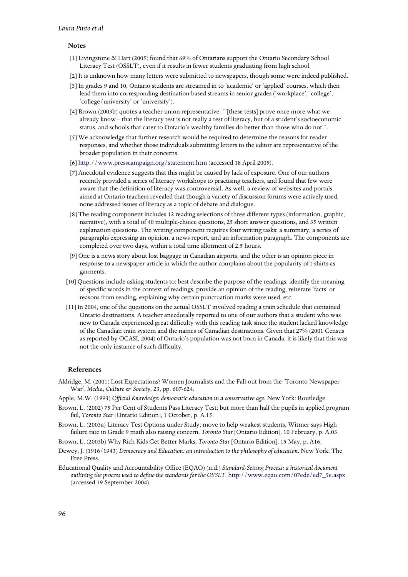### **Notes**

- [1] Livingstone & Hart (2005) found that 69% of Ontarians support the Ontario Secondary School Literacy Test (OSSLT), even if it results in fewer students graduating from high school.
- [2] It is unknown how many letters were submitted to newspapers, though some were indeed published.
- [3] In grades 9 and 10, Ontario students are streamed in to 'academic' or 'applied' courses, which then lead them into corresponding destination-based streams in senior grades ('workplace', 'college', 'college/university' or 'university').
- [4] Brown (2003b) quotes a teacher union representative: '"[these tests] prove once more what we already know – that the literacy test is not really a test of literacy, but of a student's socioeconomic status, and schools that cater to Ontario's wealthy families do better than those who do not"'.
- [5] We acknowledge that further research would be required to determine the reasons for reader responses, and whether those individuals submitting letters to the editor are representative of the broader population in their concerns.
- [6] http://www.presscampaign.org/statement.htm (accessed 18 April 2005).
- [7] Anecdotal evidence suggests that this might be caused by lack of exposure. One of our authors recently provided a series of literacy workshops to practising teachers, and found that few were aware that the definition of literacy was controversial. As well, a review of websites and portals aimed at Ontario teachers revealed that though a variety of discussion forums were actively used, none addressed issues of literacy as a topic of debate and dialogue.
- [8] The reading component includes 12 reading selections of three different types (information, graphic, narrative), with a total of 40 multiple-choice questions, 25 short answer questions, and 35 written explanation questions. The writing component requires four writing tasks: a summary, a series of paragraphs expressing an opinion, a news report, and an information paragraph. The components are completed over two days, within a total time allotment of 2.5 hours.
- [9] One is a news story about lost baggage in Canadian airports, and the other is an opinion piece in response to a newspaper article in which the author complains about the popularity of t-shirts as garments.
- [10] Questions include asking students to: best describe the purpose of the readings, identify the meaning of specific words in the context of readings, provide an opinion of the reading, reiterate 'facts' or reasons from reading, explaining why certain punctuation marks were used, etc.
- [11] In 2004, one of the questions on the actual OSSLT involved reading a train schedule that contained Ontario destinations. A teacher anecdotally reported to one of our authors that a student who was new to Canada experienced great difficulty with this reading task since the student lacked knowledge of the Canadian train system and the names of Canadian destinations. Given that 27% (2001 Census as reported by OCASI, 2004) of Ontario's population was not born in Canada, it is likely that this was not the only instance of such difficulty.

#### **References**

- Aldridge, M. (2001) Lost Expectations? Women Journalists and the Fall-out from the 'Toronto Newspaper War', *Media, Culture & Society*, 23, pp. 607-624.
- Apple, M.W. (1993) *Official Knowledge: democratic education in a conservative age*. New York: Routledge.
- Brown, L. (2002) 75 Per Cent of Students Pass Literacy Test; but more than half the pupils in applied program fail, *Toronto Star* [Ontario Edition], 1 October, p. A.15.
- Brown, L. (2003a) Literacy Test Options under Study; move to help weakest students, Witmer says High failure rate in Grade 9 math also raising concern, *Toronto Star* [Ontario Edition], 10 February, p. A.03.
- Brown, L. (2003b) Why Rich Kids Get Better Marks, *Toronto Star* [Ontario Edition], 15 May, p. A16.
- Dewey, J. (1916/1943) *Democracy and Education: an introduction to the philosophy of education.* New York: The Free Press.
- Educational Quality and Accountability Office (EQAO) (n.d.) *Standard-Setting Process: a historical document outlining the process used to define the standards for the OSSLT*. http://www.eqao.com/07ede/ed7\_5e.aspx (accessed 19 September 2004).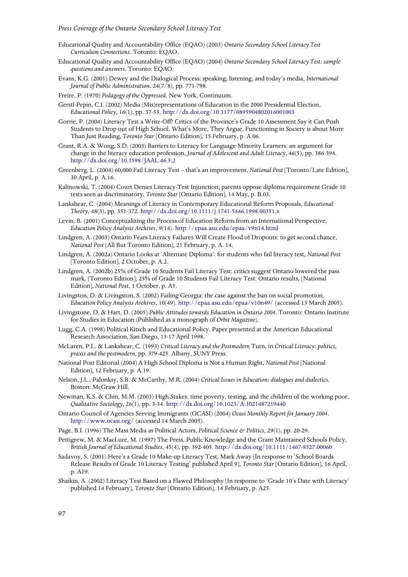- Educational Quality and Accountability Office (EQAO) (2003) *Ontario Secondary School Literacy Test Curriculum Connections*. Toronto: EQAO.
- Educational Quality and Accountability Office (EQAO) (2004) *Ontario Secondary School Literacy Test: sample questions and answers*. Toronto: EQAO.
- Evans, K.G. (2001) Dewey and the Dialogical Process: speaking, listening, and today's media, *International Journal of Public Administration*, 24(7/8), pp. 771-798.
- Freire, P. (1970) *Pedagogy of the Oppressed*. New York, Continuum.
- Gerstl-Pepin, C.I. (2002) Media (Mis)representations of Education in the 2000 Presidential Election, *Educational Policy*, 16(1), pp. 37-55. http://dx.doi.org/10.1177/0895904802016001003
- Gorrie, P. (2004) Literacy Test a Write-Off? Critics of the Province's Grade 10 Assessment Say it Can Push Students to Drop out of High School. What's More, They Argue, Functioning in Society is about More Than Just Reading, *Toronto Star* [Ontario Edition], 15 February, p. A.06.
- Grant, R.A. & Wong, S.D. (2003) Barriers to Literacy for Language-Minority Learners: an argument for change in the literacy education profession, *Journal of Adolescent and Adult Literacy*, 46(5), pp. 386-394. http://dx.doi.org/10.1598/JAAL.46.5.2
- Greenberg, L. (2004) 60,000 Fail Literacy Test that's an improvement, *National Post* [Toronto/Late Edition], 30 April, p. A.16.
- Kalinowski, T. (2004) Court Denies Literacy-Test Injunction; parents oppose diploma requirement Grade 10 tests seen as discriminatory, *Toronto Star* [Ontario Edition], 14 May, p. B.03.
- Lankshear, C. (2004) Meanings of Literacy in Contemporary Educational Reform Proposals, *Educational Theory*, 48(3), pp. 351-372. http://dx.doi.org/10.1111/j.1741-5446.1998.00351.x
- Levin, B. (2001) Conceptualizing the Process of Education Reform from an International Perspective, *Education Policy Analysis Archives*, 9(14). http://epaa.asu.edu/epaa/v9n14.html
- Lindgren, A. (2003) Ontario Fears Literacy Failures Will Create Flood of Dropouts: to get second chance, *National Post* [All But Toronto Edition], 21 February, p. A. 14.
- Lindgren, A. (2002a) Ontario Looks at 'Alternate Diploma': for students who fail literacy test, *National Post*  [Toronto Edition], 2 October, p. A.2.
- Lindgren, A. (2002b) 25% of Grade 10 Students Fail Literacy Test: critics suggest Ontario lowered the pass mark, [Toronto Edition]; 25% of Grade 10 Students Fail Literacy Test: Ontario results, [National Edition], *National Post*, 1 October, p. A5.
- Livingston, D. & Livingston, S. (2002) Failing Georgia: the case against the ban on social promotion, *Education Policy Analysis Archives*, 10(49). http://epaa.asu.edu/epaa/v10n49/ (accessed 13 March 2005).
- Livingstone, D. & Hart, D. (2005) *Public Attitudes towards Education in Ontario 2004*. Toronto: Ontario Institute for Studies in Education (Published as a monograph of *Orbit Magazine*).
- Lugg, C.A. (1998) Political Kitsch and Educational Policy. Paper presented at the American Educational Research Association, San Diego, 13-17 April 1998.
- McLaren, P.L. & Lankshear, C. (1993) *Critical Literacy and the Postmodern* Turn, in *Critical Literacy: politics, praxis and the postmodern*, pp. 379-425. Albany, SUNY Press.
- National Post Editorial (2004) A High School Diploma is Not a Human Right, *National Post* [National Edition], 12 February, p. A.19.
- Nelson, J.L., Palonksy, S.B. & McCarthy, M.R. (2004) *Critical Issues in Education: dialogues and dialectics*. Boston: McGraw Hill.
- Newman, K.S. & Chin, M.M. (2003) High Stakes: time poverty, testing, and the children of the working poor, *Qualitative Sociology*, 26(1), pp. 3-34. http://dx.doi.org/10.1023/A:1021487219440
- Ontario Council of Agencies Serving Immigrants (OCASI) (2004) *Ocasi Monthly Report for January 2004*. http://www.ocasi.org/ (accessed 14 March 2005).
- Page, B.I. (1996) The Mass Media as Political Actors, *Political Science & Politics*, 29(1), pp. 20-29.
- Pettigrew, M. & MacLure, M. (1997) The Press, Public Knowledge and the Grant Maintained Schools Policy, *British Journal of Educational Studies*, 45(4), pp. 392-405. http://dx.doi.org/10.1111/1467-8527.00060
- Sadavoy, S. (2001) Here's a Grade 10 Make-up Literacy Test, Mark Away [In response to 'School Boards Release Results of Grade 10 Literacy Testing' published April 9], *Toronto Star* [Ontario Edition], 16 April, p. A19.
- Shaikin, A. (2002) Literacy Test Based on a Flawed Philosophy [In response to 'Grade 10's Date with Literacy' published 14 February], *Toronto Star* [Ontario Edition], 14 February, p. A25.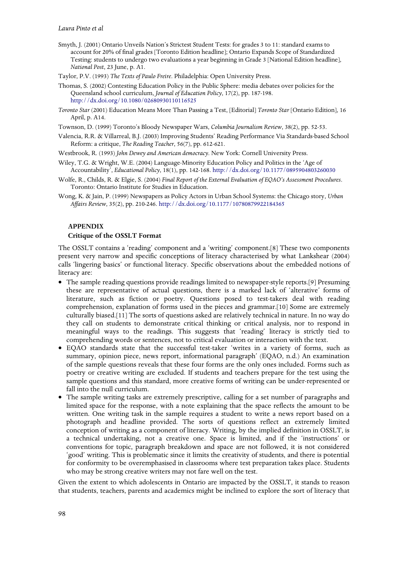Smyth, J. (2001) Ontario Unveils Nation's Strictest Student Tests: for grades 3 to 11: standard exams to account for 20% of final grades [Toronto Edition headline]; Ontario Expands Scope of Standardized Testing: students to undergo two evaluations a year beginning in Grade 3 [National Edition headline], *National Post*, 23 June, p. A1.

Taylor, P.V. (1993) *The Texts of Paulo Freire*. Philadelphia: Open University Press.

- Thomas, S. (2002) Contesting Education Policy in the Public Sphere: media debates over policies for the Queensland school curriculum, *Journal of Education Policy*, 17(2), pp. 187-198. http://dx.doi.org/10.1080/02680930110116525
- *Toronto Star* (2001) Education Means More Than Passing a Test, [Editorial] *Toronto Star* [Ontario Edition], 16 April, p. A14.
- Townson, D. (1999) Toronto's Bloody Newspaper Wars, *Columbia Journalism Review*, 38(2), pp. 52-53.
- Valencia, R.R. & Villarreal, B.J. (2003) Improving Students' Reading Performance Via Standards-based School Reform: a critique, *The Reading Teacher*, 56(7), pp. 612-621.

Westbrook, R. (1993) *John Dewey and American democracy*. New York: Cornell University Press.

- Wiley, T.G. & Wright, W.E. (2004) Language-Minority Education Policy and Politics in the 'Age of Accountability', *Educational Policy*, 18(1), pp. 142-168. http://dx.doi.org/10.1177/0895904803260030
- Wolfe, R., Childs, R. & Elgie, S. (2004) *Final Report of the External Evaluation of EQAO's Assessment Procedures*. Toronto: Ontario Institute for Studies in Education.
- Wong, K. & Jain, P. (1999) Newspapers as Policy Actors in Urban School Systems: the Chicago story, *Urban Affairs Review*, 35(2), pp. 210-246. http://dx.doi.org/10.1177/10780879922184365

## **APPENDIX**

# **Critique of the OSSLT Format**

The OSSLT contains a 'reading' component and a 'writing' component.[8] These two components present very narrow and specific conceptions of literacy characterised by what Lankshear (2004) calls 'lingering basics' or functional literacy. Specific observations about the embedded notions of literacy are:

- The sample reading questions provide readings limited to newspaper-style reports.[9] Presuming these are representative of actual questions, there is a marked lack of 'alterative' forms of literature, such as fiction or poetry. Questions posed to test-takers deal with reading comprehension, explanation of forms used in the pieces and grammar.[10] Some are extremely culturally biased.[11] The sorts of questions asked are relatively technical in nature. In no way do they call on students to demonstrate critical thinking or critical analysis, nor to respond in meaningful ways to the readings. This suggests that 'reading' literacy is strictly tied to comprehending words or sentences, not to critical evaluation or interaction with the text.
- EQAO standards state that the successful test-taker 'writes in a variety of forms, such as summary, opinion piece, news report, informational paragraph' (EQAO, n.d.) An examination of the sample questions reveals that these four forms are the only ones included. Forms such as poetry or creative writing are excluded. If students and teachers prepare for the test using the sample questions and this standard, more creative forms of writing can be under-represented or fall into the null curriculum.
- The sample writing tasks are extremely prescriptive, calling for a set number of paragraphs and limited space for the response, with a note explaining that the space reflects the amount to be written. One writing task in the sample requires a student to write a news report based on a photograph and headline provided. The sorts of questions reflect an extremely limited conception of writing as a component of literacy. Writing, by the implied definition in OSSLT, is a technical undertaking, not a creative one. Space is limited, and if the 'instructions' or conventions for topic, paragraph breakdown and space are not followed, it is not considered 'good' writing. This is problematic since it limits the creativity of students, and there is potential for conformity to be overemphasised in classrooms where test preparation takes place. Students who may be strong creative writers may not fare well on the test.

Given the extent to which adolescents in Ontario are impacted by the OSSLT, it stands to reason that students, teachers, parents and academics might be inclined to explore the sort of literacy that